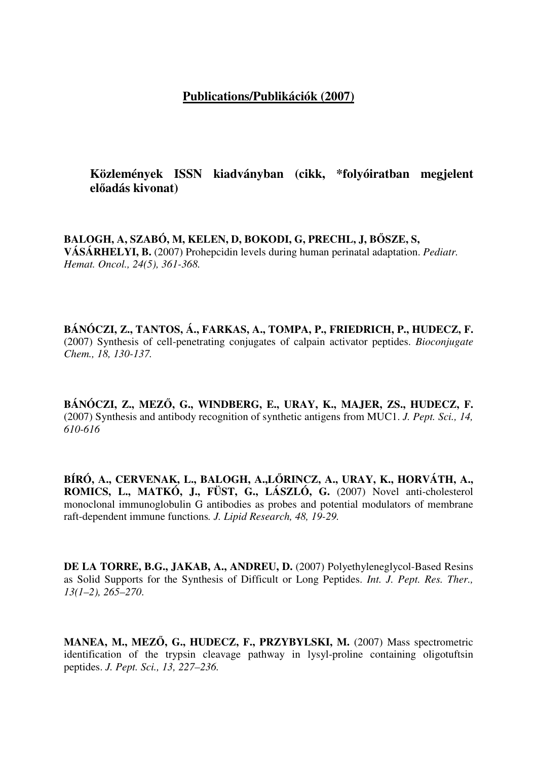## **Publications/Publikációk (2007)**

**Közlemények ISSN kiadványban (cikk, \*folyóiratban megjelent el**ő**adás kivonat)**

**BALOGH, A, SZABÓ, M, KELEN, D, BOKODI, G, PRECHL, J, B**Ő**SZE, S, VÁSÁRHELYI, B.** (2007) Prohepcidin levels during human perinatal adaptation. *Pediatr. Hemat. Oncol., 24(5), 361-368.* 

**BÁNÓCZI, Z., TANTOS, Á., FARKAS, A., TOMPA, P., FRIEDRICH, P., HUDECZ, F.** (2007) Synthesis of cell-penetrating conjugates of calpain activator peptides. *Bioconjugate Chem., 18, 130-137.*

**BÁNÓCZI, Z., MEZ**Ő**, G., WINDBERG, E., URAY, K., MAJER, ZS., HUDECZ, F.** (2007) Synthesis and antibody recognition of synthetic antigens from MUC1. *J. Pept. Sci., 14, 610-616*

**BÍRÓ, A., CERVENAK, L., BALOGH, A.,L**Ő**RINCZ, A., URAY, K., HORVÁTH, A., ROMICS, L., MATKÓ, J., FÜST, G., LÁSZLÓ, G.** (2007) Novel anti-cholesterol monoclonal immunoglobulin G antibodies as probes and potential modulators of membrane raft-dependent immune functions*. J. Lipid Research, 48, 19-29.*

**DE LA TORRE, B.G., JAKAB, A., ANDREU, D.** (2007) Polyethyleneglycol-Based Resins as Solid Supports for the Synthesis of Difficult or Long Peptides. *Int. J. Pept. Res. Ther., 13(1–2), 265–270*.

**MANEA, M., MEZ**Ő**, G., HUDECZ, F., PRZYBYLSKI, M.** (2007) Mass spectrometric identification of the trypsin cleavage pathway in lysyl-proline containing oligotuftsin peptides. *J. Pept. Sci., 13, 227–236.*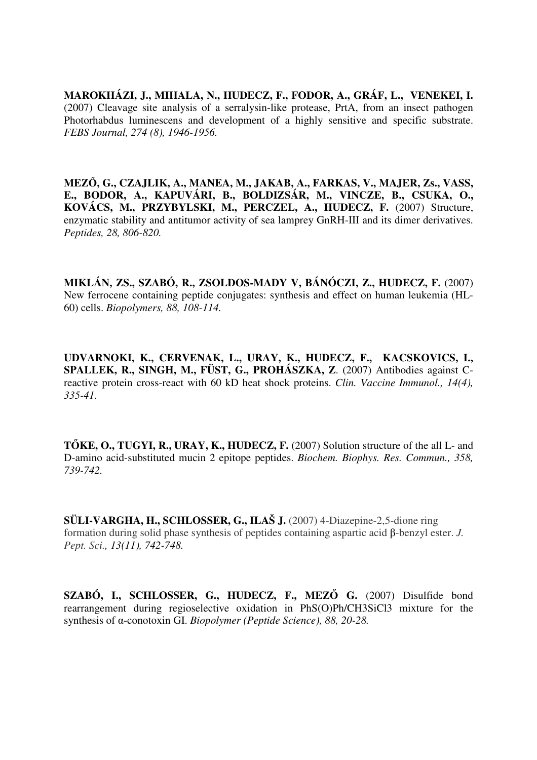**MAROKHÁZI, J., MIHALA, N., HUDECZ, F., FODOR, A., GRÁF, L., VENEKEI, I.** (2007) Cleavage site analysis of a serralysin-like protease, PrtA, from an insect pathogen Photorhabdus luminescens and development of a highly sensitive and specific substrate. *FEBS Journal, 274 (8), 1946-1956.*

**MEZ**Ő**, G., CZAJLIK, A., MANEA, M., JAKAB, A., FARKAS, V., MAJER, Zs., VASS, E., BODOR, A., KAPUVÁRI, B., BOLDIZSÁR, M., VINCZE, B., CSUKA, O., KOVÁCS, M., PRZYBYLSKI, M., PERCZEL, A., HUDECZ, F.** (2007) Structure, enzymatic stability and antitumor activity of sea lamprey GnRH-III and its dimer derivatives. *Peptides, 28, 806-820.*

**MIKLÁN, ZS., SZABÓ, R., ZSOLDOS-MADY V, BÁNÓCZI, Z., HUDECZ, F.** (2007) New ferrocene containing peptide conjugates: synthesis and effect on human leukemia (HL-60) cells. *Biopolymers, 88, 108-114.* 

**UDVARNOKI, K., CERVENAK, L., URAY, K., HUDECZ, F., KACSKOVICS, I., SPALLEK, R., SINGH, M., FÜST, G., PROHÁSZKA, Z**. (2007) Antibodies against Creactive protein cross-react with 60 kD heat shock proteins. *Clin. Vaccine Immunol., 14(4), 335-41.*

**T**Ő**KE, O., TUGYI, R., URAY, K., HUDECZ, F.** (2007) Solution structure of the all L- and D-amino acid-substituted mucin 2 epitope peptides. *Biochem. Biophys. Res. Commun., 358, 739-742.*

**SÜLI-VARGHA, H., SCHLOSSER, G., ILAŠ J.** (2007) 4-Diazepine-2,5-dione ring formation during solid phase synthesis of peptides containing aspartic acid β-benzyl ester. *J. Pept. Sci., 13(11), 742-748.*

**SZABÓ, I., SCHLOSSER, G., HUDECZ, F., MEZ**Ő **G.** (2007) Disulfide bond rearrangement during regioselective oxidation in PhS(O)Ph/CH3SiCl3 mixture for the synthesis of α-conotoxin GI. *Biopolymer (Peptide Science), 88, 20-28.*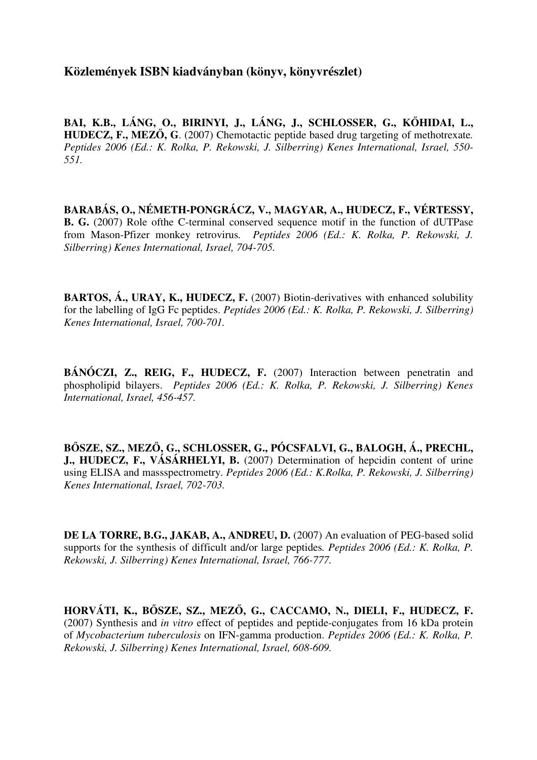**Közlemények ISBN kiadványban (könyv, könyvrészlet)**

**BAI, K.B., LÁNG, O., BIRINYI, J., LÁNG, J., SCHLOSSER, G., K**Ő**HIDAI, L., HUDECZ, F., MEZ**Ő**, G**. (2007) Chemotactic peptide based drug targeting of methotrexate*. Peptides 2006 (Ed.: K. Rolka, P. Rekowski, J. Silberring) Kenes International, Israel, 550- 551.*

**BARABÁS, O., NÉMETH-PONGRÁCZ, V., MAGYAR, A., HUDECZ, F., VÉRTESSY, B. G.** (2007) Role ofthe C-terminal conserved sequence motif in the function of dUTPase from Mason-Pfizer monkey retrovirus*. Peptides 2006 (Ed.: K. Rolka, P. Rekowski, J. Silberring) Kenes International, Israel, 704-705.*

**BARTOS, Á., URAY, K., HUDECZ, F.** (2007) Biotin-derivatives with enhanced solubility for the labelling of IgG Fc peptides. *Peptides 2006 (Ed.: K. Rolka, P. Rekowski, J. Silberring) Kenes International, Israel, 700-701.*

**BÁNÓCZI, Z., REIG, F., HUDECZ, F.** (2007) Interaction between penetratin and phospholipid bilayers. *Peptides 2006 (Ed.: K. Rolka, P. Rekowski, J. Silberring) Kenes International, Israel, 456-457.*

**B**Ő**SZE, SZ., MEZ**Ő**, G., SCHLOSSER, G., PÓCSFALVI, G., BALOGH, Á., PRECHL, J., HUDECZ, F., VÁSÁRHELYI, B.** (2007) Determination of hepcidin content of urine using ELISA and massspectrometry. *Peptides 2006 (Ed.: K.Rolka, P. Rekowski, J. Silberring) Kenes International, Israel, 702-703.*

**DE LA TORRE, B.G., JAKAB, A., ANDREU, D.** (2007) An evaluation of PEG-based solid supports for the synthesis of difficult and/or large peptides*. Peptides 2006 (Ed.: K. Rolka, P. Rekowski, J. Silberring) Kenes International, Israel, 766-777.*

**HORVÁTI, K., B**Ő**SZE, SZ., MEZ**Ő**, G., CACCAMO, N., DIELI, F., HUDECZ, F.** (2007) Synthesis and *in vitro* effect of peptides and peptide-conjugates from 16 kDa protein of *Mycobacterium tuberculosis* on IFN-gamma production. *Peptides 2006 (Ed.: K. Rolka, P. Rekowski, J. Silberring) Kenes International, Israel, 608-609.*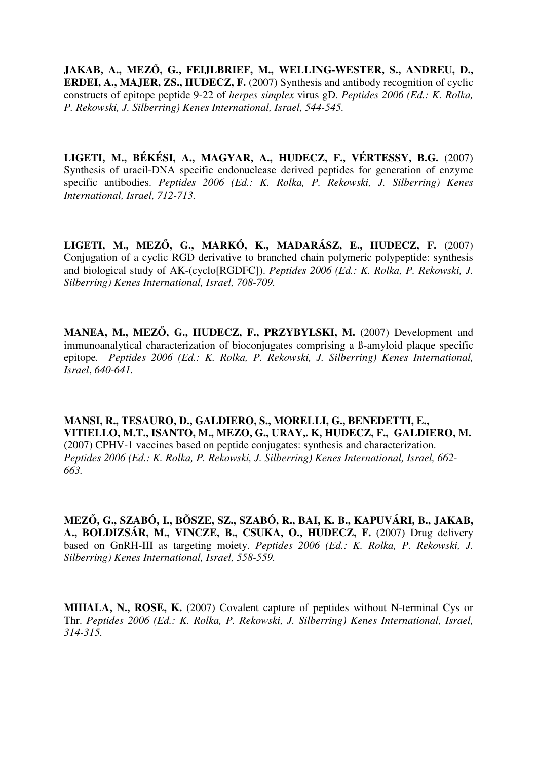**JAKAB, A., MEZ**Ő**, G., FEIJLBRIEF, M., WELLING-WESTER, S., ANDREU, D., ERDEI, A., MAJER, ZS., HUDECZ, F.** (2007) Synthesis and antibody recognition of cyclic constructs of epitope peptide 9-22 of *herpes simplex* virus gD. *Peptides 2006 (Ed.: K. Rolka, P. Rekowski, J. Silberring) Kenes International, Israel, 544-545.*

**LIGETI, M., BÉKÉSI, A., MAGYAR, A., HUDECZ, F., VÉRTESSY, B.G.** (2007) Synthesis of uracil-DNA specific endonuclease derived peptides for generation of enzyme specific antibodies. *Peptides 2006 (Ed.: K. Rolka, P. Rekowski, J. Silberring) Kenes International, Israel, 712-713.*

**LIGETI, M., MEZ**Ő**, G., MARKÓ, K., MADARÁSZ, E., HUDECZ, F.** (2007) Conjugation of a cyclic RGD derivative to branched chain polymeric polypeptide: synthesis and biological study of AK-(cyclo[RGDFC]). *Peptides 2006 (Ed.: K. Rolka, P. Rekowski, J. Silberring) Kenes International, Israel, 708-709.*

**MANEA, M., MEZ**Ő**, G., HUDECZ, F., PRZYBYLSKI, M.** (2007) Development and immunoanalytical characterization of bioconjugates comprising a ß-amyloid plaque specific epitope*. Peptides 2006 (Ed.: K. Rolka, P. Rekowski, J. Silberring) Kenes International, Israel*, *640-641.*

**MANSI, R., TESAURO, D., GALDIERO, S., MORELLI, G., BENEDETTI, E., VITIELLO, M.T., ISANTO, M., MEZO, G., URAY,. K, HUDECZ, F., GALDIERO, M.**  (2007) CPHV-1 vaccines based on peptide conjugates: synthesis and characterization. *Peptides 2006 (Ed.: K. Rolka, P. Rekowski, J. Silberring) Kenes International, Israel, 662- 663.*

**MEZ**Ő**, G., SZABÓ, I., BÕSZE, SZ., SZABÓ, R., BAI, K. B., KAPUVÁRI, B., JAKAB, A., BOLDIZSÁR, M., VINCZE, B., CSUKA, O., HUDECZ, F.** (2007) Drug delivery based on GnRH-III as targeting moiety. *Peptides 2006 (Ed.: K. Rolka, P. Rekowski, J. Silberring) Kenes International, Israel, 558-559.*

**MIHALA, N., ROSE, K.** (2007) Covalent capture of peptides without N-terminal Cys or Thr. *Peptides 2006 (Ed.: K. Rolka, P. Rekowski, J. Silberring) Kenes International, Israel, 314-315.*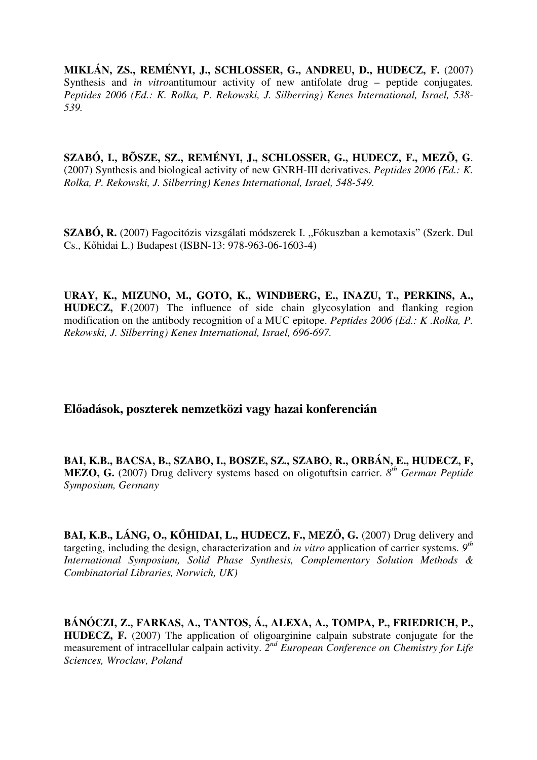**MIKLÁN, ZS., REMÉNYI, J., SCHLOSSER, G., ANDREU, D., HUDECZ, F.** (2007) Synthesis and *in vitro*antitumour activity of new antifolate drug – peptide conjugates*. Peptides 2006 (Ed.: K. Rolka, P. Rekowski, J. Silberring) Kenes International, Israel, 538- 539.*

**SZABÓ, I., BÕSZE, SZ., REMÉNYI, J., SCHLOSSER, G., HUDECZ, F., MEZÕ, G**. (2007) Synthesis and biological activity of new GNRH-III derivatives. *Peptides 2006 (Ed.: K. Rolka, P. Rekowski, J. Silberring) Kenes International, Israel, 548-549.*

**SZABÓ, R.** (2007) Fagocitózis vizsgálati módszerek I. "Fókuszban a kemotaxis" (Szerk. Dul Cs., Kőhidai L.) Budapest (ISBN-13: 978-963-06-1603-4)

**URAY, K., MIZUNO, M., GOTO, K., WINDBERG, E., INAZU, T., PERKINS, A., HUDECZ, F**.(2007) The influence of side chain glycosylation and flanking region modification on the antibody recognition of a MUC epitope. *Peptides 2006 (Ed.: K .Rolka, P. Rekowski, J. Silberring) Kenes International, Israel, 696-697.*

## **El**ő**adások, poszterek nemzetközi vagy hazai konferencián**

**BAI, K.B., BACSA, B., SZABO, I., BOSZE, SZ., SZABO, R., ORBÁN, E., HUDECZ, F, MEZO, G.** (2007) Drug delivery systems based on oligotuftsin carrier. *8 th German Peptide Symposium, Germany*

**BAI, K.B., LÁNG, O., K**Ő**HIDAI, L., HUDECZ, F., MEZ**Ő**, G.** (2007) Drug delivery and targeting, including the design, characterization and *in vitro* application of carrier systems. *9 th International Symposium, Solid Phase Synthesis, Complementary Solution Methods & Combinatorial Libraries, Norwich, UK)*

**BÁNÓCZI, Z., FARKAS, A., TANTOS, Á., ALEXA, A., TOMPA, P., FRIEDRICH, P., HUDECZ, F.** (2007) The application of oligoarginine calpain substrate conjugate for the measurement of intracellular calpain activity. 2<sup>nd</sup> European Conference on Chemistry for Life *Sciences, Wroclaw, Poland*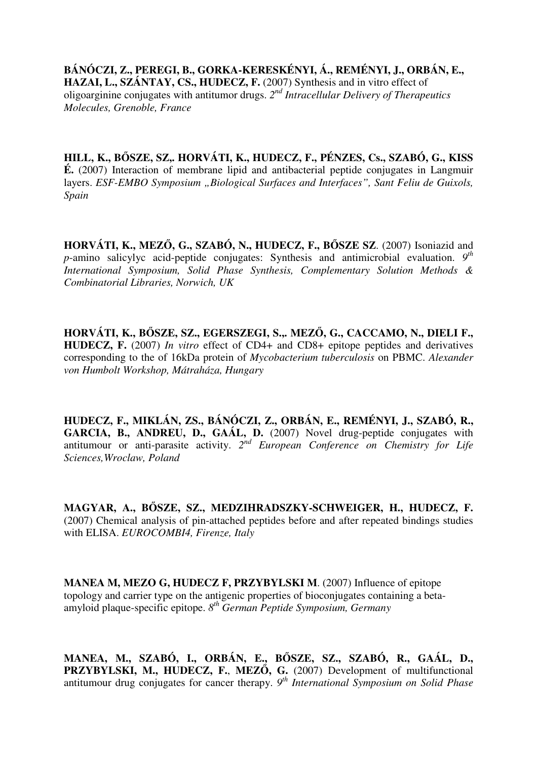**BÁNÓCZI, Z., PEREGI, B., GORKA-KERESKÉNYI, Á., REMÉNYI, J., ORBÁN, E.,**  HAZAI, L., SZÁNTAY, CS., HUDECZ, F. (2007) Synthesis and in vitro effect of oligoarginine conjugates with antitumor drugs. *2 nd Intracellular Delivery of Therapeutics Molecules, Grenoble, France*

**HILL, K., B**Ő**SZE, SZ,. HORVÁTI, K., HUDECZ, F., PÉNZES, Cs., SZABÓ, G., KISS É.** (2007) Interaction of membrane lipid and antibacterial peptide conjugates in Langmuir layers. *ESF-EMBO Symposium* "*Biological Surfaces and Interfaces*", *Sant Feliu de Guixols*, *Spain*

**HORVÁTI, K., MEZ**Ő**, G., SZABÓ, N., HUDECZ, F., B**Ő**SZE SZ**. (2007) Isoniazid and *p*-amino salicylyc acid-peptide conjugates: Synthesis and antimicrobial evaluation. *9 th International Symposium, Solid Phase Synthesis, Complementary Solution Methods & Combinatorial Libraries, Norwich, UK*

**HORVÁTI, K., B**Ő**SZE, SZ., EGERSZEGI, S.,. MEZ**Ő**, G., CACCAMO, N., DIELI F., HUDECZ, F.** (2007) *In vitro* effect of CD4+ and CD8+ epitope peptides and derivatives corresponding to the of 16kDa protein of *Mycobacterium tuberculosis* on PBMC. *Alexander von Humbolt Workshop, Mátraháza, Hungary*

**HUDECZ, F., MIKLÁN, ZS., BÁNÓCZI, Z., ORBÁN, E., REMÉNYI, J., SZABÓ, R., GARCIA, B., ANDREU, D., GAÁL, D.** (2007) Novel drug-peptide conjugates with antitumour or anti-parasite activity. 2<sup>nd</sup> European Conference on Chemistry for Life *Sciences,Wroclaw, Poland*

**MAGYAR, A., B**Ő**SZE, SZ., MEDZIHRADSZKY-SCHWEIGER, H., HUDECZ, F.**  (2007) Chemical analysis of pin-attached peptides before and after repeated bindings studies with ELISA. *EUROCOMBI4, Firenze, Italy* 

**MANEA M, MEZO G, HUDECZ F, PRZYBYLSKI M**. (2007) Influence of epitope topology and carrier type on the antigenic properties of bioconjugates containing a betaamyloid plaque-specific epitope. *8th German Peptide Symposium, Germany* 

**MANEA, M., SZABÓ, I., ORBÁN, E., B**Ő**SZE, SZ., SZABÓ, R., GAÁL, D., PRZYBYLSKI, M., HUDECZ, F.**, **MEZ**Ő**, G.** (2007) Development of multifunctional antitumour drug conjugates for cancer therapy. *9 th International Symposium on Solid Phase*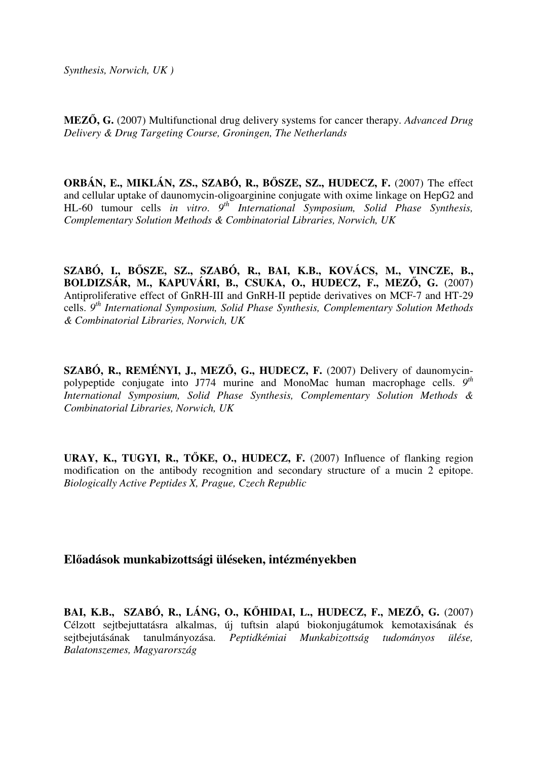**MEZ**Ő**, G.** (2007) Multifunctional drug delivery systems for cancer therapy. *Advanced Drug Delivery & Drug Targeting Course, Groningen, The Netherlands* 

**ORBÁN, E., MIKLÁN, ZS., SZABÓ, R., B**Ő**SZE, SZ., HUDECZ, F.** (2007) The effect and cellular uptake of daunomycin-oligoarginine conjugate with oxime linkage on HepG2 and HL-60 tumour cells in vitro. 9<sup>th</sup> International Symposium, Solid Phase Synthesis, *Complementary Solution Methods & Combinatorial Libraries, Norwich, UK*

**SZABÓ, I., B**Ő**SZE, SZ., SZABÓ, R., BAI, K.B., KOVÁCS, M., VINCZE, B., BOLDIZSÁR, M., KAPUVÁRI, B., CSUKA, O., HUDECZ, F., MEZ**Ő**, G.** (2007) Antiproliferative effect of GnRH-III and GnRH-II peptide derivatives on MCF-7 and HT-29 cells. *9 th International Symposium, Solid Phase Synthesis, Complementary Solution Methods & Combinatorial Libraries, Norwich, UK*

**SZABÓ, R., REMÉNYI, J., MEZ**Ő**, G., HUDECZ, F.** (2007) Delivery of daunomycinpolypeptide conjugate into J774 murine and MonoMac human macrophage cells. *9 th International Symposium, Solid Phase Synthesis, Complementary Solution Methods & Combinatorial Libraries, Norwich, UK*

**URAY, K., TUGYI, R., T**Ő**KE, O., HUDECZ, F.** (2007) Influence of flanking region modification on the antibody recognition and secondary structure of a mucin 2 epitope. *Biologically Active Peptides X, Prague, Czech Republic* 

## **El**ő**adások munkabizottsági üléseken, intézményekben**

**BAI, K.B., SZABÓ, R., LÁNG, O., K**Ő**HIDAI, L., HUDECZ, F., MEZ**Ő**, G.** (2007) Célzott sejtbejuttatásra alkalmas, új tuftsin alapú biokonjugátumok kemotaxisának és sejtbejutásának tanulmányozása. *Peptidkémiai Munkabizottság tudományos ülése, Balatonszemes, Magyarország*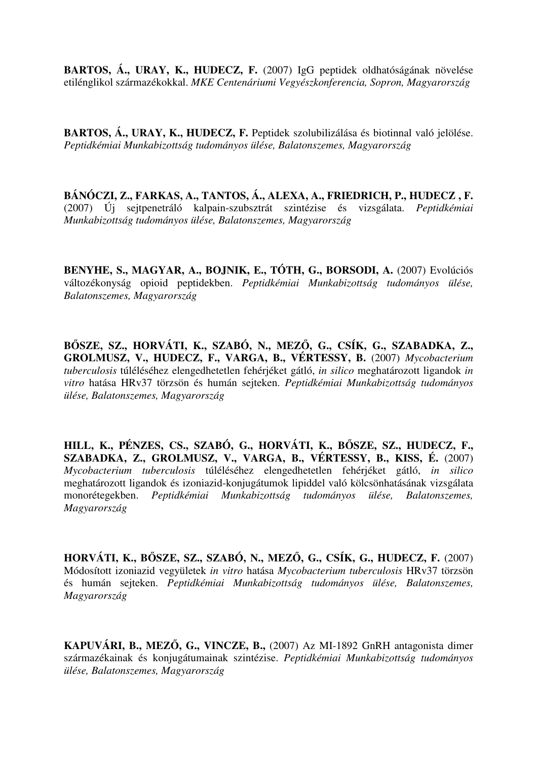**BARTOS, Á., URAY, K., HUDECZ, F.** (2007) IgG peptidek oldhatóságának növelése etilénglikol származékokkal. *MKE Centenáriumi Vegyészkonferencia, Sopron, Magyarország* 

**BARTOS, Á., URAY, K., HUDECZ, F.** Peptidek szolubilizálása és biotinnal való jelölése. *Peptidkémiai Munkabizottság tudományos ülése, Balatonszemes, Magyarország* 

**BÁNÓCZI, Z., FARKAS, A., TANTOS, Á., ALEXA, A., FRIEDRICH, P., HUDECZ , F.**  (2007) Új sejtpenetráló kalpain-szubsztrát szintézise és vizsgálata. *Peptidkémiai Munkabizottság tudományos ülése, Balatonszemes, Magyarország* 

**BENYHE, S., MAGYAR, A., BOJNIK, E., TÓTH, G., BORSODI, A.** (2007) Evolúciós változékonyság opioid peptidekben. *Peptidkémiai Munkabizottság tudományos ülése, Balatonszemes, Magyarország* 

**B**Ő**SZE, SZ., HORVÁTI, K., SZABÓ, N., MEZ**Ő**, G., CSÍK, G., SZABADKA, Z., GROLMUSZ, V., HUDECZ, F., VARGA, B., VÉRTESSY, B.** (2007) *Mycobacterium tuberculosis* túléléséhez elengedhetetlen fehérjéket gátló, *in silico* meghatározott ligandok *in vitro* hatása HRv37 törzsön és humán sejteken. *Peptidkémiai Munkabizottság tudományos ülése, Balatonszemes, Magyarország* 

**HILL, K., PÉNZES, CS., SZABÓ, G., HORVÁTI, K., B**Ő**SZE, SZ., HUDECZ, F., SZABADKA, Z., GROLMUSZ, V., VARGA, B., VÉRTESSY, B., KISS, É.** (2007) *Mycobacterium tuberculosis* túléléséhez elengedhetetlen fehérjéket gátló, *in silico* meghatározott ligandok és izoniazid-konjugátumok lipiddel való kölcsönhatásának vizsgálata monorétegekben. *Peptidkémiai Munkabizottság tudományos ülése, Balatonszemes, Magyarország* 

**HORVÁTI, K., B**Ő**SZE, SZ., SZABÓ, N., MEZ**Ő**, G., CSÍK, G., HUDECZ, F.** (2007) Módosított izoniazid vegyületek *in vitro* hatása *Mycobacterium tuberculosis* HRv37 törzsön és humán sejteken. *Peptidkémiai Munkabizottság tudományos ülése, Balatonszemes, Magyarország* 

**KAPUVÁRI, B., MEZ**Ő**, G., VINCZE, B.,** (2007) Az MI-1892 GnRH antagonista dimer származékainak és konjugátumainak szintézise. *Peptidkémiai Munkabizottság tudományos ülése, Balatonszemes, Magyarország*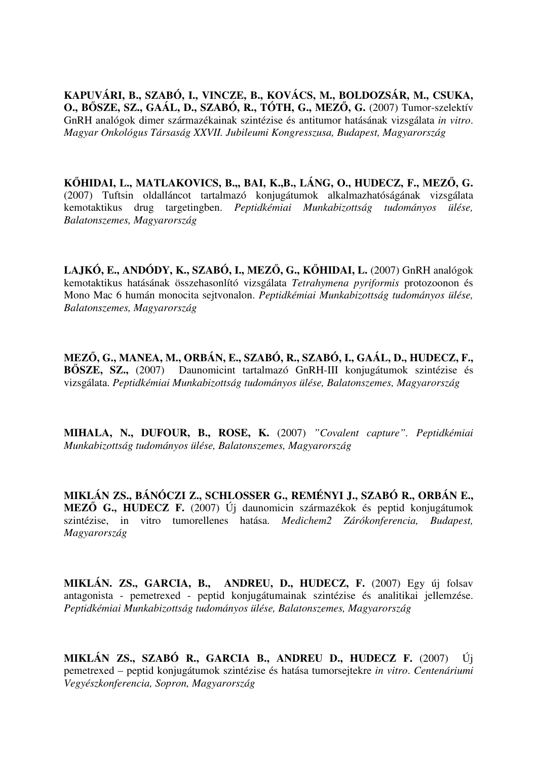**KAPUVÁRI, B., SZABÓ, I., VINCZE, B., KOVÁCS, M., BOLDOZSÁR, M., CSUKA, O., B**Ő**SZE, SZ., GAÁL, D., SZABÓ, R., TÓTH, G., MEZ**Ő**, G.** (2007) Tumor-szelektív GnRH analógok dimer származékainak szintézise és antitumor hatásának vizsgálata *in vitro*. *Magyar Onkológus Társaság XXVII. Jubileumi Kongresszusa, Budapest, Magyarország*

**K**Ő**HIDAI, L., MATLAKOVICS, B.,, BAI, K.,B., LÁNG, O., HUDECZ, F., MEZ**Ő**, G.** (2007) Tuftsin oldalláncot tartalmazó konjugátumok alkalmazhatóságának vizsgálata kemotaktikus drug targetingben. *Peptidkémiai Munkabizottság tudományos ülése, Balatonszemes, Magyarország*

**LAJKÓ, E., ANDÓDY, K., SZABÓ, I., MEZ**Ő**, G., K**Ő**HIDAI, L.** (2007) GnRH analógok kemotaktikus hatásának összehasonlító vizsgálata *Tetrahymena pyriformis* protozoonon és Mono Mac 6 humán monocita sejtvonalon. *Peptidkémiai Munkabizottság tudományos ülése, Balatonszemes, Magyarország* 

**MEZ**Ő**, G., MANEA, M., ORBÁN, E., SZABÓ, R., SZABÓ, I., GAÁL, D., HUDECZ, F., B**Ő**SZE, SZ.,** (2007) Daunomicint tartalmazó GnRH-III konjugátumok szintézise és vizsgálata. *Peptidkémiai Munkabizottság tudományos ülése, Balatonszemes, Magyarország* 

**MIHALA, N., DUFOUR, B., ROSE, K.** (2007) *"Covalent capture". Peptidkémiai Munkabizottság tudományos ülése, Balatonszemes, Magyarország* 

**MIKLÁN ZS., BÁNÓCZI Z., SCHLOSSER G., REMÉNYI J., SZABÓ R., ORBÁN E., MEZ**Ő **G., HUDECZ F.** (2007) Új daunomicin származékok és peptid konjugátumok szintézise, in vitro tumorellenes hatása. *Medichem2 Zárókonferencia, Budapest, Magyarország* 

**MIKLÁN. ZS., GARCIA, B., ANDREU, D., HUDECZ, F.** (2007) Egy új folsav antagonista - pemetrexed - peptid konjugátumainak szintézise és analitikai jellemzése. *Peptidkémiai Munkabizottság tudományos ülése, Balatonszemes, Magyarország* 

**MIKLÁN ZS., SZABÓ R., GARCIA B., ANDREU D., HUDECZ F.** (2007) Új pemetrexed – peptid konjugátumok szintézise és hatása tumorsejtekre *in vitro*. *Centenáriumi Vegyészkonferencia, Sopron, Magyarország*